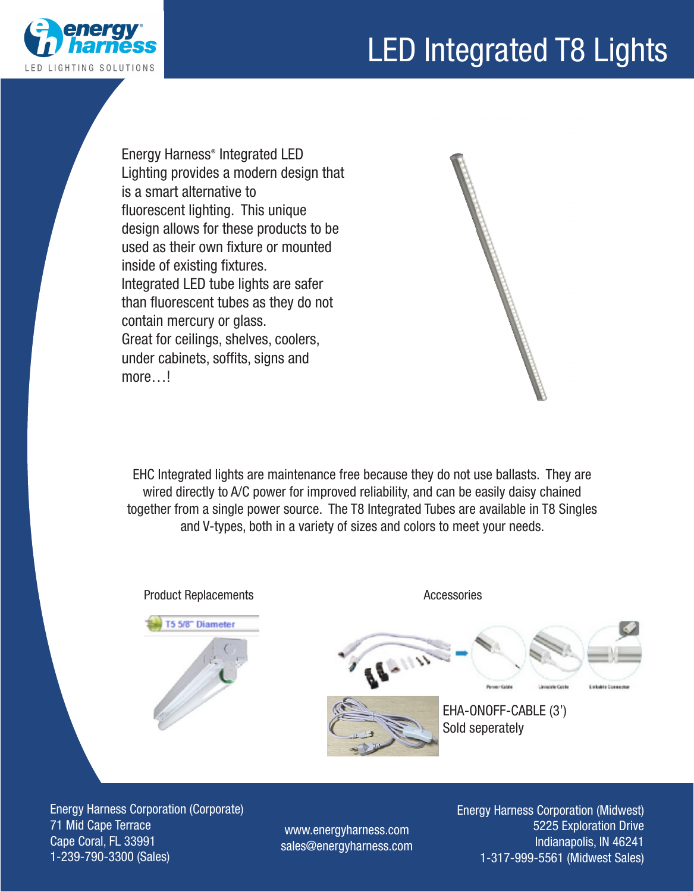



Energy Harness® Integrated LED Lighting provides a modern design that is a smart alternative to fluorescent lighting. This unique design allows for these products to be used as their own fixture or mounted inside of existing fixtures. Integrated LED tube lights are safer than fluorescent tubes as they do not contain mercury or glass. Great for ceilings, shelves, coolers, under cabinets, soffits, signs and more…!



EHC Integrated lights are maintenance free because they do not use ballasts. They are wired directly to A/C power for improved reliability, and can be easily daisy chained together from a single power source. The T8 Integrated Tubes are available in T8 Singles and V-types, both in a variety of sizes and colors to meet your needs.



Energy Harness Corporation (Corporate) 71 Mid Cape Terrace Cape Coral, FL 33991 1-239-790-3300 (Sales)

www.energyharness.com sales@energyharness.com Energy Harness Corporation (Midwest) 5225 Exploration Drive Indianapolis, IN 46241 1-317-999-5561 (Midwest Sales)